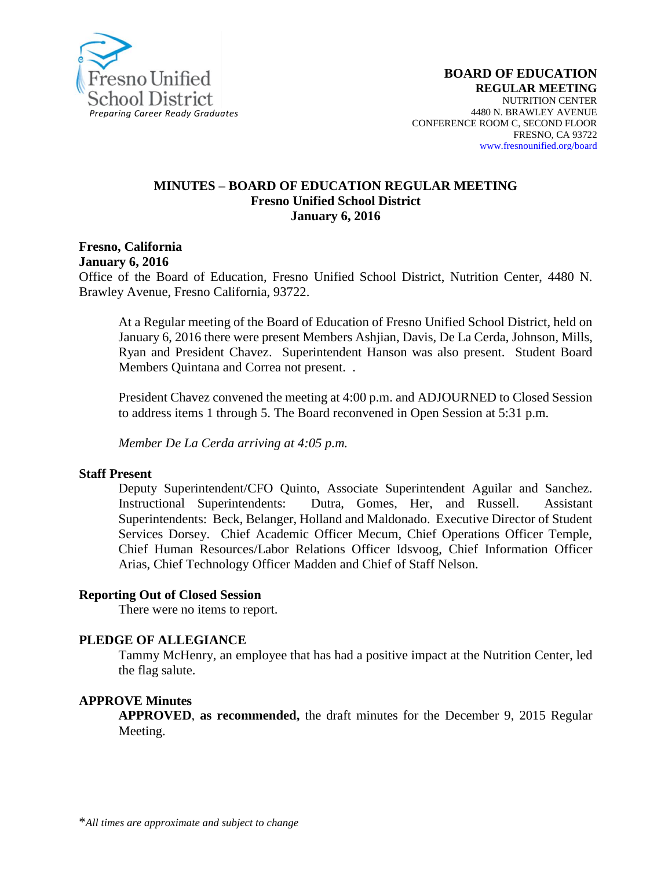

#### **MINUTES – BOARD OF EDUCATION REGULAR MEETING Fresno Unified School District January 6, 2016**

**Fresno, California January 6, 2016**

Office of the Board of Education, Fresno Unified School District, Nutrition Center, 4480 N. Brawley Avenue, Fresno California, 93722.

At a Regular meeting of the Board of Education of Fresno Unified School District, held on January 6, 2016 there were present Members Ashjian, Davis, De La Cerda, Johnson, Mills, Ryan and President Chavez. Superintendent Hanson was also present. Student Board Members Quintana and Correa not present. .

President Chavez convened the meeting at 4:00 p.m. and ADJOURNED to Closed Session to address items 1 through 5. The Board reconvened in Open Session at 5:31 p.m.

*Member De La Cerda arriving at 4:05 p.m.*

#### **Staff Present**

Deputy Superintendent/CFO Quinto, Associate Superintendent Aguilar and Sanchez. Instructional Superintendents: Dutra, Gomes, Her, and Russell. Assistant Superintendents: Beck, Belanger, Holland and Maldonado. Executive Director of Student Services Dorsey. Chief Academic Officer Mecum, Chief Operations Officer Temple, Chief Human Resources/Labor Relations Officer Idsvoog, Chief Information Officer Arias, Chief Technology Officer Madden and Chief of Staff Nelson.

#### **Reporting Out of Closed Session**

There were no items to report.

#### **PLEDGE OF ALLEGIANCE**

Tammy McHenry, an employee that has had a positive impact at the Nutrition Center, led the flag salute.

#### **APPROVE Minutes**

**APPROVED**, **as recommended,** the draft minutes for the December 9, 2015 Regular Meeting.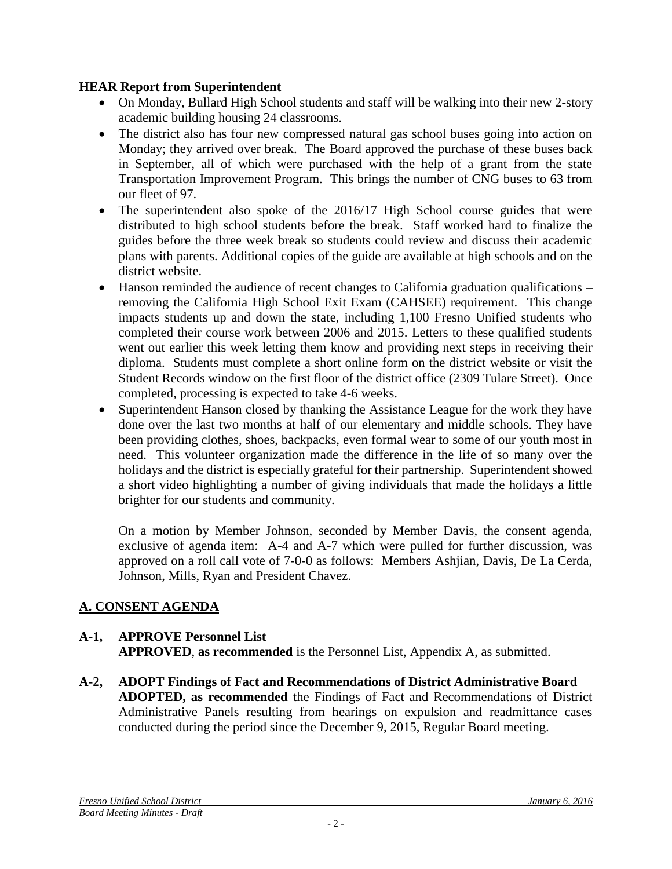## **HEAR Report from Superintendent**

- On Monday, Bullard High School students and staff will be walking into their new 2-story academic building housing 24 classrooms.
- The district also has four new compressed natural gas school buses going into action on Monday; they arrived over break. The Board approved the purchase of these buses back in September, all of which were purchased with the help of a grant from the state Transportation Improvement Program. This brings the number of CNG buses to 63 from our fleet of 97.
- The superintendent also spoke of the 2016/17 High School course guides that were distributed to high school students before the break. Staff worked hard to finalize the guides before the three week break so students could review and discuss their academic plans with parents. Additional copies of the guide are available at high schools and on the district website.
- Hanson reminded the audience of recent changes to California graduation qualifications removing the California High School Exit Exam (CAHSEE) requirement. This change impacts students up and down the state, including 1,100 Fresno Unified students who completed their course work between 2006 and 2015. Letters to these qualified students went out earlier this week letting them know and providing next steps in receiving their diploma. Students must complete a short online form on the district website or visit the Student Records window on the first floor of the district office (2309 Tulare Street). Once completed, processing is expected to take 4-6 weeks.
- Superintendent Hanson closed by thanking the Assistance League for the work they have done over the last two months at half of our elementary and middle schools. They have been providing clothes, shoes, backpacks, even formal wear to some of our youth most in need. This volunteer organization made the difference in the life of so many over the holidays and the district is especially grateful for their partnership. Superintendent showed a short [video](https://vimeo.com/channels/fresnounified/149688776) highlighting a number of giving individuals that made the holidays a little brighter for our students and community.

On a motion by Member Johnson, seconded by Member Davis, the consent agenda, exclusive of agenda item: A-4 and A-7 which were pulled for further discussion, was approved on a roll call vote of 7-0-0 as follows: Members Ashjian, Davis, De La Cerda, Johnson, Mills, Ryan and President Chavez.

# **A. CONSENT AGENDA**

## **A-1, APPROVE Personnel List APPROVED**, **as recommended** is the Personnel List, Appendix A, as submitted.

**A-2, ADOPT Findings of Fact and Recommendations of District Administrative Board ADOPTED, as recommended** the Findings of Fact and Recommendations of District Administrative Panels resulting from hearings on expulsion and readmittance cases conducted during the period since the December 9, 2015, Regular Board meeting.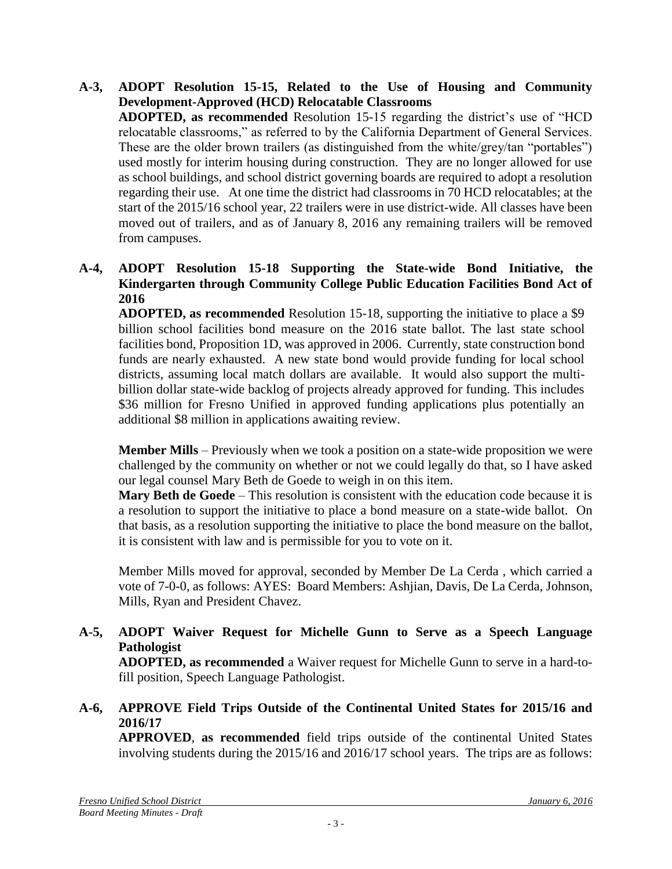**A-3, ADOPT Resolution 15-15, Related to the Use of Housing and Community Development-Approved (HCD) Relocatable Classrooms ADOPTED, as recommended** Resolution 15-15 regarding the district's use of "HCD relocatable classrooms," as referred to by the California Department of General Services. These are the older brown trailers (as distinguished from the white/grey/tan "portables") used mostly for interim housing during construction. They are no longer allowed for use as school buildings, and school district governing boards are required to adopt a resolution regarding their use. At one time the district had classrooms in 70 HCD relocatables; at the start of the 2015/16 school year, 22 trailers were in use district-wide. All classes have been moved out of trailers, and as of January 8, 2016 any remaining trailers will be removed from campuses.

### **A-4, ADOPT Resolution 15-18 Supporting the State-wide Bond Initiative, the Kindergarten through Community College Public Education Facilities Bond Act of 2016**

**ADOPTED, as recommended** Resolution 15-18, supporting the initiative to place a \$9 billion school facilities bond measure on the 2016 state ballot. The last state school facilities bond, Proposition 1D, was approved in 2006. Currently, state construction bond funds are nearly exhausted. A new state bond would provide funding for local school districts, assuming local match dollars are available. It would also support the multibillion dollar state-wide backlog of projects already approved for funding. This includes \$36 million for Fresno Unified in approved funding applications plus potentially an additional \$8 million in applications awaiting review.

**Member Mills** – Previously when we took a position on a state-wide proposition we were challenged by the community on whether or not we could legally do that, so I have asked our legal counsel Mary Beth de Goede to weigh in on this item.

**Mary Beth de Goede** – This resolution is consistent with the education code because it is a resolution to support the initiative to place a bond measure on a state-wide ballot. On that basis, as a resolution supporting the initiative to place the bond measure on the ballot, it is consistent with law and is permissible for you to vote on it.

Member Mills moved for approval, seconded by Member De La Cerda , which carried a vote of 7-0-0, as follows: AYES: Board Members: Ashjian, Davis, De La Cerda, Johnson, Mills, Ryan and President Chavez.

## **A-5, ADOPT Waiver Request for Michelle Gunn to Serve as a Speech Language Pathologist**

**ADOPTED, as recommended** a Waiver request for Michelle Gunn to serve in a hard-tofill position, Speech Language Pathologist.

## **A-6, APPROVE Field Trips Outside of the Continental United States for 2015/16 and 2016/17**

**APPROVED**, **as recommended** field trips outside of the continental United States involving students during the 2015/16 and 2016/17 school years. The trips are as follows: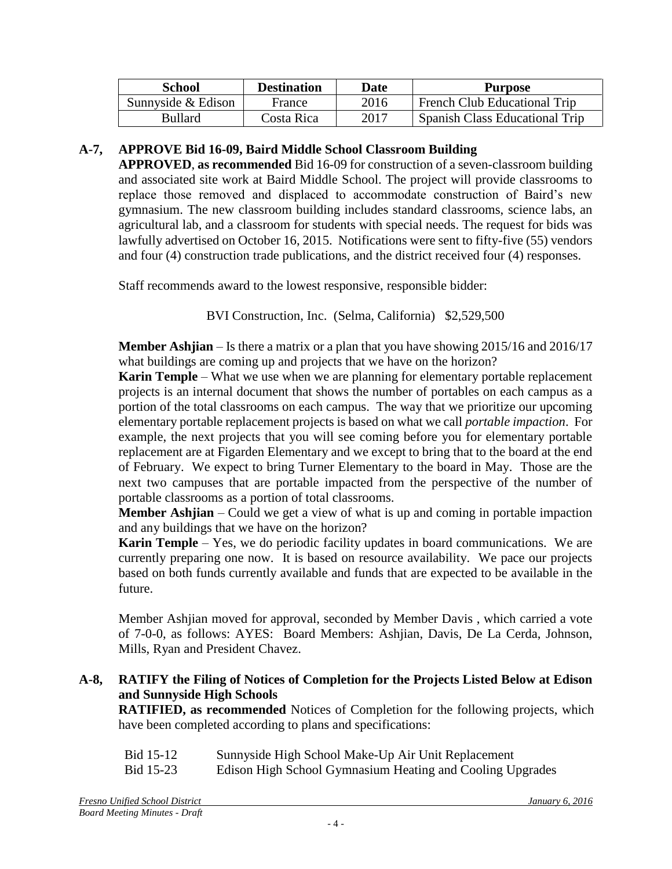| <b>School</b>      | <b>Destination</b> | Date | <b>Purpose</b>                 |
|--------------------|--------------------|------|--------------------------------|
| Sunnyside & Edison | France             | 2016 | French Club Educational Trip   |
| <b>Bullard</b>     | Costa Rica         | 2017 | Spanish Class Educational Trip |

#### **A-7, APPROVE Bid 16-09, Baird Middle School Classroom Building**

**APPROVED**, **as recommended** Bid 16-09 for construction of a seven-classroom building and associated site work at Baird Middle School. The project will provide classrooms to replace those removed and displaced to accommodate construction of Baird's new gymnasium. The new classroom building includes standard classrooms, science labs, an agricultural lab, and a classroom for students with special needs. The request for bids was lawfully advertised on October 16, 2015. Notifications were sent to fifty-five (55) vendors and four (4) construction trade publications, and the district received four (4) responses.

Staff recommends award to the lowest responsive, responsible bidder:

BVI Construction, Inc. (Selma, California) \$2,529,500

**Member Ashjian** – Is there a matrix or a plan that you have showing 2015/16 and 2016/17 what buildings are coming up and projects that we have on the horizon?

**Karin Temple** – What we use when we are planning for elementary portable replacement projects is an internal document that shows the number of portables on each campus as a portion of the total classrooms on each campus. The way that we prioritize our upcoming elementary portable replacement projects is based on what we call *portable impaction*. For example, the next projects that you will see coming before you for elementary portable replacement are at Figarden Elementary and we except to bring that to the board at the end of February. We expect to bring Turner Elementary to the board in May. Those are the next two campuses that are portable impacted from the perspective of the number of portable classrooms as a portion of total classrooms.

**Member Ashjian** – Could we get a view of what is up and coming in portable impaction and any buildings that we have on the horizon?

**Karin Temple** – Yes, we do periodic facility updates in board communications. We are currently preparing one now. It is based on resource availability. We pace our projects based on both funds currently available and funds that are expected to be available in the future.

Member Ashjian moved for approval, seconded by Member Davis , which carried a vote of 7-0-0, as follows: AYES: Board Members: Ashjian, Davis, De La Cerda, Johnson, Mills, Ryan and President Chavez.

#### **A-8, RATIFY the Filing of Notices of Completion for the Projects Listed Below at Edison and Sunnyside High Schools**

**RATIFIED, as recommended** Notices of Completion for the following projects, which have been completed according to plans and specifications:

| Bid 15-12 | Sunnyside High School Make-Up Air Unit Replacement        |
|-----------|-----------------------------------------------------------|
| Bid 15-23 | Edison High School Gymnasium Heating and Cooling Upgrades |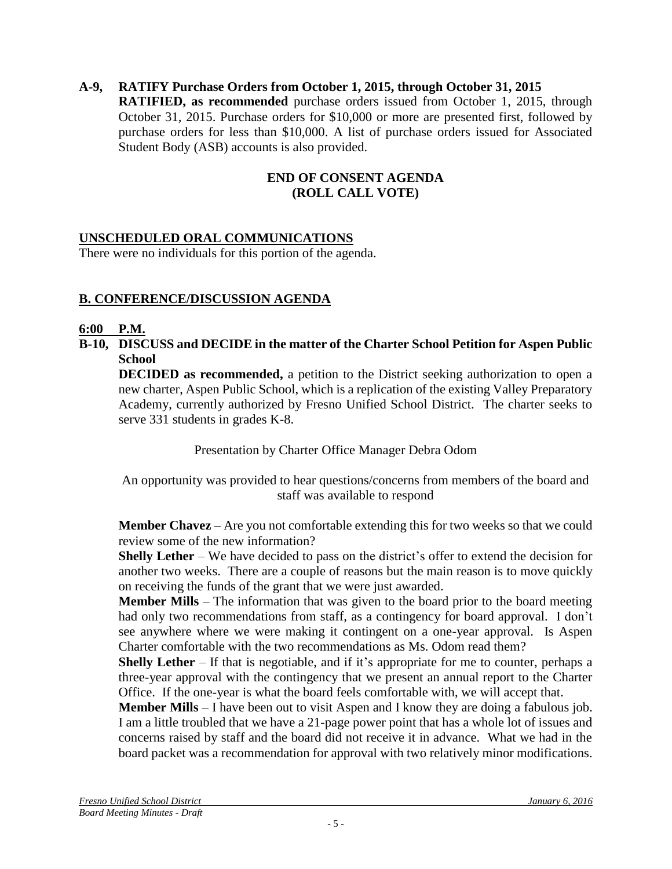## **A-9, RATIFY Purchase Orders from October 1, 2015, through October 31, 2015**

**RATIFIED, as recommended** purchase orders issued from October 1, 2015, through October 31, 2015. Purchase orders for \$10,000 or more are presented first, followed by purchase orders for less than \$10,000. A list of purchase orders issued for Associated Student Body (ASB) accounts is also provided.

### **END OF CONSENT AGENDA (ROLL CALL VOTE)**

## **UNSCHEDULED ORAL COMMUNICATIONS**

There were no individuals for this portion of the agenda.

## **B. CONFERENCE/DISCUSSION AGENDA**

#### **6:00 P.M.**

**B-10, DISCUSS and DECIDE in the matter of the Charter School Petition for Aspen Public School**

**DECIDED as recommended,** a petition to the District seeking authorization to open a new charter, Aspen Public School, which is a replication of the existing Valley Preparatory Academy, currently authorized by Fresno Unified School District. The charter seeks to serve 331 students in grades K-8.

Presentation by Charter Office Manager Debra Odom

An opportunity was provided to hear questions/concerns from members of the board and staff was available to respond

**Member Chavez** – Are you not comfortable extending this for two weeks so that we could review some of the new information?

**Shelly Lether** – We have decided to pass on the district's offer to extend the decision for another two weeks. There are a couple of reasons but the main reason is to move quickly on receiving the funds of the grant that we were just awarded.

**Member Mills** – The information that was given to the board prior to the board meeting had only two recommendations from staff, as a contingency for board approval. I don't see anywhere where we were making it contingent on a one-year approval. Is Aspen Charter comfortable with the two recommendations as Ms. Odom read them?

**Shelly Lether** – If that is negotiable, and if it's appropriate for me to counter, perhaps a three-year approval with the contingency that we present an annual report to the Charter Office. If the one-year is what the board feels comfortable with, we will accept that.

**Member Mills** – I have been out to visit Aspen and I know they are doing a fabulous job. I am a little troubled that we have a 21-page power point that has a whole lot of issues and concerns raised by staff and the board did not receive it in advance. What we had in the board packet was a recommendation for approval with two relatively minor modifications.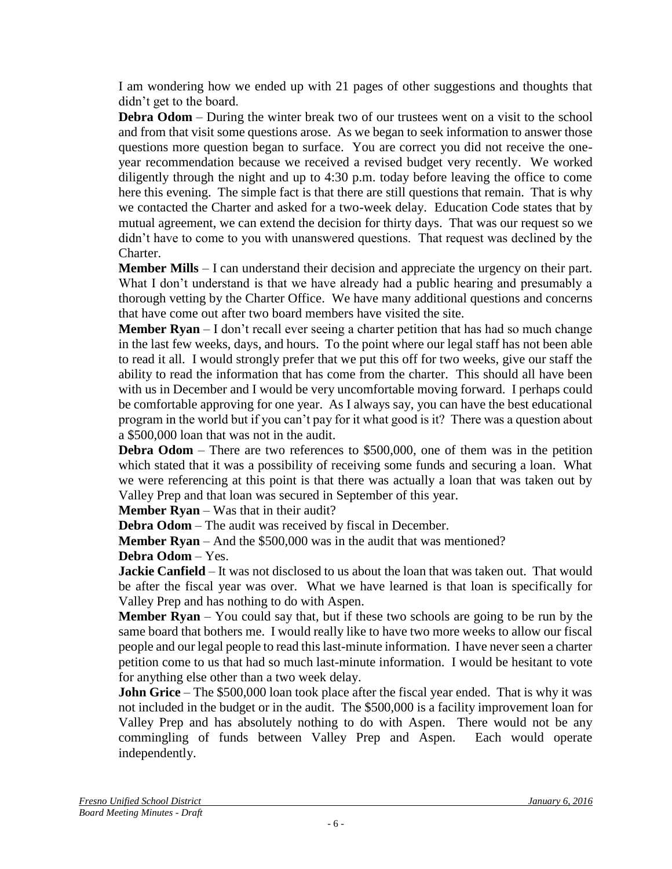I am wondering how we ended up with 21 pages of other suggestions and thoughts that didn't get to the board.

**Debra Odom** – During the winter break two of our trustees went on a visit to the school and from that visit some questions arose. As we began to seek information to answer those questions more question began to surface. You are correct you did not receive the oneyear recommendation because we received a revised budget very recently. We worked diligently through the night and up to 4:30 p.m. today before leaving the office to come here this evening. The simple fact is that there are still questions that remain. That is why we contacted the Charter and asked for a two-week delay. Education Code states that by mutual agreement, we can extend the decision for thirty days. That was our request so we didn't have to come to you with unanswered questions. That request was declined by the Charter.

**Member Mills** – I can understand their decision and appreciate the urgency on their part. What I don't understand is that we have already had a public hearing and presumably a thorough vetting by the Charter Office. We have many additional questions and concerns that have come out after two board members have visited the site.

**Member Ryan** – I don't recall ever seeing a charter petition that has had so much change in the last few weeks, days, and hours. To the point where our legal staff has not been able to read it all. I would strongly prefer that we put this off for two weeks, give our staff the ability to read the information that has come from the charter. This should all have been with us in December and I would be very uncomfortable moving forward. I perhaps could be comfortable approving for one year. As I always say, you can have the best educational program in the world but if you can't pay for it what good is it? There was a question about a \$500,000 loan that was not in the audit.

**Debra Odom** – There are two references to \$500,000, one of them was in the petition which stated that it was a possibility of receiving some funds and securing a loan. What we were referencing at this point is that there was actually a loan that was taken out by Valley Prep and that loan was secured in September of this year.

**Member Ryan** – Was that in their audit?

**Debra Odom** – The audit was received by fiscal in December.

**Member Ryan** – And the \$500,000 was in the audit that was mentioned?

**Debra Odom** – Yes.

**Jackie Canfield** – It was not disclosed to us about the loan that was taken out. That would be after the fiscal year was over. What we have learned is that loan is specifically for Valley Prep and has nothing to do with Aspen.

**Member Ryan** – You could say that, but if these two schools are going to be run by the same board that bothers me. I would really like to have two more weeks to allow our fiscal people and our legal people to read this last-minute information. I have never seen a charter petition come to us that had so much last-minute information. I would be hesitant to vote for anything else other than a two week delay.

**John Grice** – The \$500,000 loan took place after the fiscal year ended. That is why it was not included in the budget or in the audit. The \$500,000 is a facility improvement loan for Valley Prep and has absolutely nothing to do with Aspen. There would not be any commingling of funds between Valley Prep and Aspen. Each would operate independently.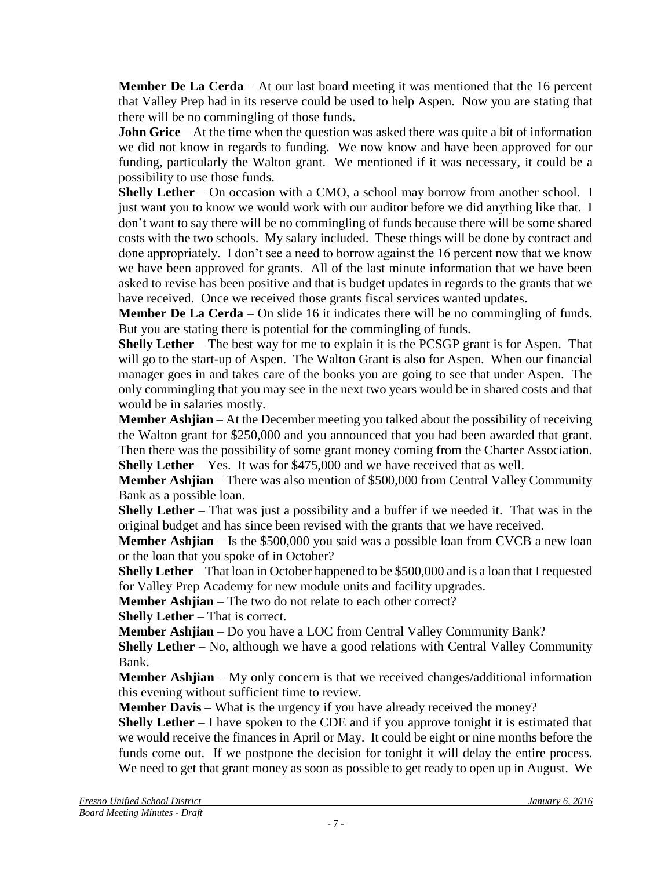**Member De La Cerda** – At our last board meeting it was mentioned that the 16 percent that Valley Prep had in its reserve could be used to help Aspen. Now you are stating that there will be no commingling of those funds.

**John Grice** – At the time when the question was asked there was quite a bit of information we did not know in regards to funding. We now know and have been approved for our funding, particularly the Walton grant. We mentioned if it was necessary, it could be a possibility to use those funds.

**Shelly Lether** – On occasion with a CMO, a school may borrow from another school. I just want you to know we would work with our auditor before we did anything like that. I don't want to say there will be no commingling of funds because there will be some shared costs with the two schools. My salary included. These things will be done by contract and done appropriately. I don't see a need to borrow against the 16 percent now that we know we have been approved for grants. All of the last minute information that we have been asked to revise has been positive and that is budget updates in regards to the grants that we have received. Once we received those grants fiscal services wanted updates.

**Member De La Cerda** – On slide 16 it indicates there will be no commingling of funds. But you are stating there is potential for the commingling of funds.

**Shelly Lether** – The best way for me to explain it is the PCSGP grant is for Aspen. That will go to the start-up of Aspen. The Walton Grant is also for Aspen. When our financial manager goes in and takes care of the books you are going to see that under Aspen. The only commingling that you may see in the next two years would be in shared costs and that would be in salaries mostly.

**Member Ashjian** – At the December meeting you talked about the possibility of receiving the Walton grant for \$250,000 and you announced that you had been awarded that grant. Then there was the possibility of some grant money coming from the Charter Association. **Shelly Lether** – Yes. It was for \$475,000 and we have received that as well.

**Member Ashjian** – There was also mention of \$500,000 from Central Valley Community Bank as a possible loan.

**Shelly Lether** – That was just a possibility and a buffer if we needed it. That was in the original budget and has since been revised with the grants that we have received.

**Member Ashjian** – Is the \$500,000 you said was a possible loan from CVCB a new loan or the loan that you spoke of in October?

**Shelly Lether** – That loan in October happened to be \$500,000 and is a loan that I requested for Valley Prep Academy for new module units and facility upgrades.

**Member Ashjian** – The two do not relate to each other correct?

**Shelly Lether** – That is correct.

**Member Ashjian** – Do you have a LOC from Central Valley Community Bank?

**Shelly Lether** – No, although we have a good relations with Central Valley Community Bank.

**Member Ashjian** – My only concern is that we received changes/additional information this evening without sufficient time to review.

**Member Davis** – What is the urgency if you have already received the money?

**Shelly Lether** – I have spoken to the CDE and if you approve tonight it is estimated that we would receive the finances in April or May. It could be eight or nine months before the funds come out. If we postpone the decision for tonight it will delay the entire process. We need to get that grant money as soon as possible to get ready to open up in August. We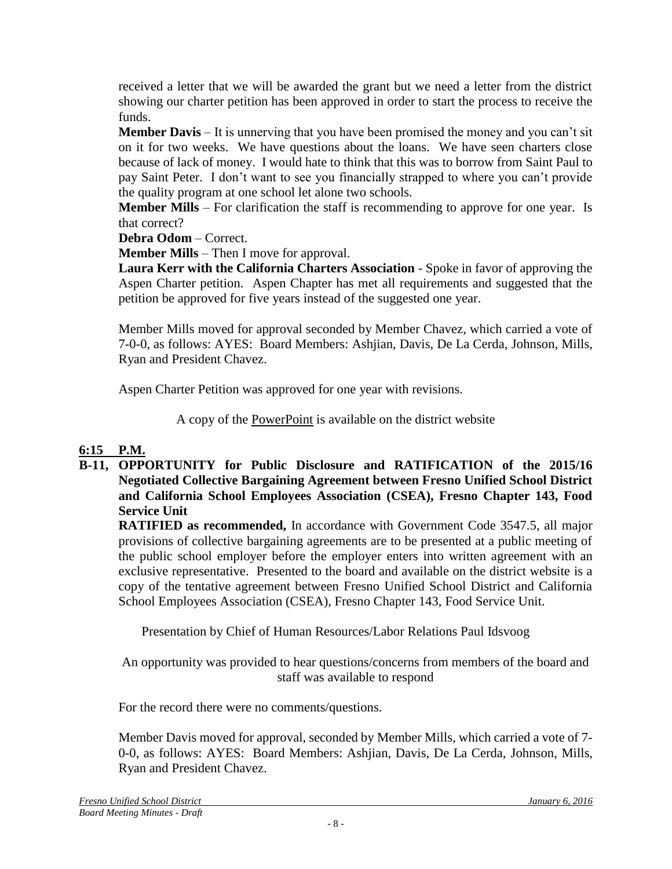received a letter that we will be awarded the grant but we need a letter from the district showing our charter petition has been approved in order to start the process to receive the funds.

**Member Davis** – It is unnerving that you have been promised the money and you can't sit on it for two weeks. We have questions about the loans. We have seen charters close because of lack of money. I would hate to think that this was to borrow from Saint Paul to pay Saint Peter. I don't want to see you financially strapped to where you can't provide the quality program at one school let alone two schools.

**Member Mills** – For clarification the staff is recommending to approve for one year. Is that correct?

**Debra Odom** – Correct.

**Member Mills** – Then I move for approval.

Laura Kerr with the California Charters Association - Spoke in favor of approving the Aspen Charter petition. Aspen Chapter has met all requirements and suggested that the petition be approved for five years instead of the suggested one year.

Member Mills moved for approval seconded by Member Chavez, which carried a vote of 7-0-0, as follows: AYES: Board Members: Ashjian, Davis, De La Cerda, Johnson, Mills, Ryan and President Chavez.

Aspen Charter Petition was approved for one year with revisions.

A copy of the [PowerPoint](file:///C:/Users/lmmolan/AppData/Local/Desktop/BOARD%20DOCUMENTS/Presentations%20for%20Website/B20131211-Board-Presentation-B-12.pdf) is available on the district website

# **6:15 P.M.**

**B-11, OPPORTUNITY for Public Disclosure and RATIFICATION of the 2015/16 Negotiated Collective Bargaining Agreement between Fresno Unified School District and California School Employees Association (CSEA), Fresno Chapter 143, Food Service Unit**

**RATIFIED as recommended,** In accordance with Government Code 3547.5, all major provisions of collective bargaining agreements are to be presented at a public meeting of the public school employer before the employer enters into written agreement with an exclusive representative. Presented to the board and available on the district website is a copy of the tentative agreement between Fresno Unified School District and California School Employees Association (CSEA), Fresno Chapter 143, Food Service Unit.

Presentation by Chief of Human Resources/Labor Relations Paul Idsvoog

An opportunity was provided to hear questions/concerns from members of the board and staff was available to respond

For the record there were no comments/questions.

Member Davis moved for approval, seconded by Member Mills, which carried a vote of 7- 0-0, as follows: AYES: Board Members: Ashjian, Davis, De La Cerda, Johnson, Mills, Ryan and President Chavez.